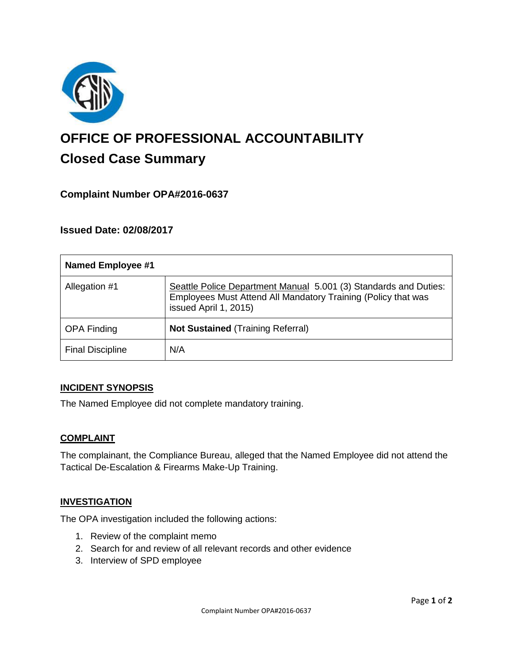

# **OFFICE OF PROFESSIONAL ACCOUNTABILITY Closed Case Summary**

# **Complaint Number OPA#2016-0637**

## **Issued Date: 02/08/2017**

| <b>Named Employee #1</b> |                                                                                                                                                            |
|--------------------------|------------------------------------------------------------------------------------------------------------------------------------------------------------|
| Allegation #1            | Seattle Police Department Manual 5.001 (3) Standards and Duties:<br>Employees Must Attend All Mandatory Training (Policy that was<br>issued April 1, 2015) |
| <b>OPA Finding</b>       | <b>Not Sustained (Training Referral)</b>                                                                                                                   |
| <b>Final Discipline</b>  | N/A                                                                                                                                                        |

#### **INCIDENT SYNOPSIS**

The Named Employee did not complete mandatory training.

#### **COMPLAINT**

The complainant, the Compliance Bureau, alleged that the Named Employee did not attend the Tactical De-Escalation & Firearms Make-Up Training.

#### **INVESTIGATION**

The OPA investigation included the following actions:

- 1. Review of the complaint memo
- 2. Search for and review of all relevant records and other evidence
- 3. Interview of SPD employee